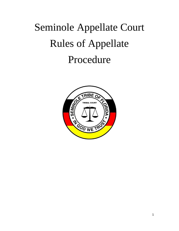# Seminole Appellate Court Rules of Appellate Procedure

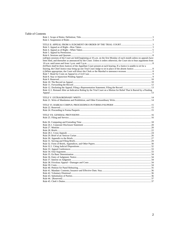#### Table of Contents

| (a) Open sessions of the Court are held beginning at 10 a.m. on the first Monday of each month unless no appeals have   |  |
|-------------------------------------------------------------------------------------------------------------------------|--|
| been filed, and thereafter as announced by the Court. Unless it orders otherwise, the Court sits to hear arguments from |  |
|                                                                                                                         |  |
| (b) There shall be three Justices of the Appellate Court present at each hearing. If a Justice is unable to sit for a   |  |
|                                                                                                                         |  |
|                                                                                                                         |  |
|                                                                                                                         |  |
|                                                                                                                         |  |
|                                                                                                                         |  |
|                                                                                                                         |  |
|                                                                                                                         |  |
|                                                                                                                         |  |
| Rule 12.1. Remand After an Indicative Ruling by the Trial Court on a Motion for Relief That Is Barred by a Pending      |  |
|                                                                                                                         |  |
|                                                                                                                         |  |
|                                                                                                                         |  |
|                                                                                                                         |  |
|                                                                                                                         |  |
|                                                                                                                         |  |
|                                                                                                                         |  |
|                                                                                                                         |  |
|                                                                                                                         |  |
|                                                                                                                         |  |
|                                                                                                                         |  |
|                                                                                                                         |  |
|                                                                                                                         |  |
|                                                                                                                         |  |
|                                                                                                                         |  |
|                                                                                                                         |  |
|                                                                                                                         |  |
|                                                                                                                         |  |
|                                                                                                                         |  |
|                                                                                                                         |  |
|                                                                                                                         |  |
|                                                                                                                         |  |
|                                                                                                                         |  |
|                                                                                                                         |  |
|                                                                                                                         |  |
|                                                                                                                         |  |
|                                                                                                                         |  |
|                                                                                                                         |  |
|                                                                                                                         |  |
|                                                                                                                         |  |
|                                                                                                                         |  |
|                                                                                                                         |  |
|                                                                                                                         |  |
|                                                                                                                         |  |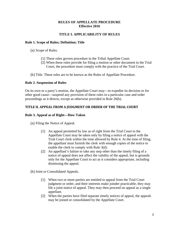# **RULES OF APPELLATE PROCEDURE Effective 2016**

# **TITLE I. APPLICABILITY OF RULES**

# <span id="page-2-0"></span>**Rule 1. Scope of Rules; Definition; Title**

- (a) Scope of Rules.
	- (1) These rules govern procedure in the Tribal Appellate Court.
	- (2) When these rules provide for filing a motion or other document in the Trial Court, the procedure must comply with the practice of the Trial Court.
- (b) Title. These rules are to be known as the Rules of Appellate Procedure.

# <span id="page-2-1"></span>**Rule 2. Suspension of Rules**

On its own or a party's motion, the Appellate Court may—to expedite its decision or for other good cause—suspend any provision of these rules in a particular case and order proceedings as it directs, except as otherwise provided in Rule 26(b).

# <span id="page-2-2"></span>**TITLE II. APPEAL FROM A JUDGMENT OR ORDER OF THE TRIAL COURT**

# <span id="page-2-3"></span>**Rule 3. Appeal as of Right—How Taken**

- (a) Filing the Notice of Appeal.
	- (1) An appeal permitted by law as of right from the Trial Court to the Appellate Court may be taken only by filing a notice of appeal with the Trial Court clerk within the time allowed by Rule 4. At the time of filing, the appellant must furnish the clerk with enough copies of the notice to enable the clerk to comply with Rule 3(d).
	- (2) An appellant's failure to take any step other than the timely filing of a notice of appeal does not affect the validity of the appeal, but is grounds only for the Appellate Court to act as it considers appropriate, including dismissing the appeal.
- (b) Joint or Consolidated Appeals.
	- (1) When two or more parties are entitled to appeal from the Trial Court judgment or order, and their interests make joinder practicable, they may file a joint notice of appeal. They may then proceed on appeal as a single appellant.
	- (2) When the parties have filed separate timely notices of appeal, the appeals may be joined or consolidated by the Appellate Court.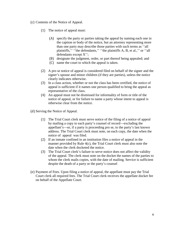- (c) Contents of the Notice of Appeal.
	- (1) The notice of appeal must:
		- (A) specify the party or parties taking the appeal by naming each one in the caption or body of the notice, but an attorney representing more than one party may describe those parties with such terms as ''all plaintiffs,'' ''the defendants,'' ''the plaintiffs A, B, et al.,'' or ''all defendants except X'';
		- (B) designate the judgment, order, or part thereof being appealed; and
		- (C) name the court to which the appeal is taken.
	- (2) A pro se notice of appeal is considered filed on behalf of the signer and the signer's spouse and minor children (if they are parties), unless the notice clearly indicates otherwise.
	- (3) In a class action, whether or not the class has been certified, the notice of appeal is sufficient if it names one person qualified to bring the appeal as representative of the class.
	- (4) An appeal must not be dismissed for informality of form or title of the notice of appeal, or for failure to name a party whose intent to appeal is otherwise clear from the notice.
- (d) Serving the Notice of Appeal.
	- (1) The Trial Court clerk must serve notice of the filing of a notice of appeal by mailing a copy to each party's counsel of record—excluding the appellant's—or, if a party is proceeding pro se, to the party's last known address. The Trial Court clerk must note, on each copy, the date when the notice of appeal was filed.
	- (2) If an inmate confined in an institution files a notice of appeal in the manner provided by Rule 4(c), the Trial Court clerk must also note the date when the clerk docketed the notice.
	- (3) The Trial Court clerk's failure to serve notice does not affect the validity of the appeal. The clerk must note on the docket the names of the parties to whom the clerk mails copies, with the date of mailing. Service is sufficient despite the death of a party or the party's counsel
- (e) Payment of Fees. Upon filing a notice of appeal, the appellant must pay the Trial Court clerk all required fees. The Trial Court clerk receives the appellate docket fee on behalf of the Appellate Court.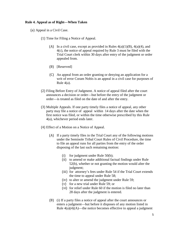#### <span id="page-4-0"></span>**Rule 4. Appeal as of Right—When Taken**

(a) Appeal in a Civil Case.

(1) Time for Filing a Notice of Appeal.

- (A) In a civil case, except as provided in Rules  $4(a)(1)(B)$ ,  $4(a)(4)$ , and 4(c), the notice of appeal required by Rule 3 must be filed with the Trial Court clerk within 30 days after entry of the judgment or order appealed from.
- (B) [Reserved]
- (C) An appeal from an order granting or denying an application for a writ of error Coram Nobis is an appeal in a civil case for purposes of Rule 4(a).
- (2) Filing Before Entry of Judgment. A notice of appeal filed after the court announces a decision or order—but before the entry of the judgment or order—is treated as filed on the date of and after the entry.
- (3) Multiple Appeals. If one party timely files a notice of appeal, any other party may file a notice of appeal within 14 days after the date when the first notice was filed, or within the time otherwise prescribed by this Rule 4(a), whichever period ends later.
- (4) Effect of a Motion on a Notice of Appeal.
	- (A) If a party timely files in the Trial Court any of the following motions under the Seminole Tribal Court Rules of Civil Procedure, the time to file an appeal runs for all parties from the entry of the order disposing of the last such remaining motion:
		- (i) for judgment under Rule 50(b);
		- (ii) to amend or make additional factual findings under Rule 52(b), whether or not granting the motion would alter the judgment;
		- (iii) for attorney's fees under Rule 54 if the Trial Court extends the time to appeal under Rule 58;
		- (iv) to alter or amend the judgment under Rule 59;
		- (v) for a new trial under Rule 59; or
		- (vi) for relief under Rule 60 if the motion is filed no later than 28 days after the judgment is entered.
	- (B) (i) If a party files a notice of appeal after the court announces or enters a judgment—but before it disposes of any motion listed in Rule  $4(a)(4)(A)$ —the notice becomes effective to appeal a judgment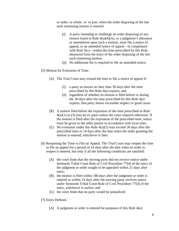or order, in whole or in part, when the order disposing of the last such remaining motion is entered.

- (i) A party intending to challenge an order disposing of any motion listed in Rule  $4(a)(4)(A)$ , or a judgment's alteration or amendment upon such a motion, must file a notice of appeal, or an amended notice of appeal—in compliance with Rule 3(c)—within the time prescribed by this Rule measured from the entry of the order disposing of the last such remaining motion.
- (ii) No additional fee is required to file an amended notice.
- (5) Motion for Extension of Time.
	- (A) The Trial Court may extend the time to file a notice of appeal if:
		- (i) a party so moves no later than 30 days after the time prescribed by this Rule 4(a) expires; and
		- (ii) regardless of whether its motion is filed before or during the 30 days after the time prescribed by this Rule  $4(a)$ expires, that party shows excusable neglect or good cause.
	- (B) A motion filed before the expiration of the time prescribed in Rule  $4(a)(1)$  or (3) may be ex parte unless the court requires otherwise. If the motion is filed after the expiration of the prescribed time, notice must be given to the other parties in accordance with local rules.
	- (C) No extension under this Rule  $4(a)(5)$  may exceed 30 days after the prescribed time or 14 days after the date when the order granting the motion is entered, whichever is later.
- (6) Reopening the Time to File an Appeal. The Trial Court may reopen the time to file an appeal for a period of 14 days after the date when its order to reopen is entered, but only if all the following conditions are satisfied:
	- (A) the court finds that the moving party did not receive notice under Seminole Tribal Court Rule of Civil Procedure 77(d) of the entry of the judgment or order sought to be appealed within 21 days after entry;
	- (B) the motion is filed within 180 days after the judgment or order is entered or within 14 days after the moving party receives notice under Seminole Tribal Court Rule of Civil Procedure 77(d) of the entry, whichever is earlier; and
	- (C) the court finds that no party would be prejudiced.

(7) Entry Defined.

(A) A judgment or order is entered for purposes of this Rule 4(a):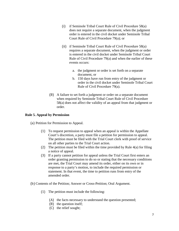- (i) if Seminole Tribal Court Rule of Civil Procedure 58(a) does not require a separate document, when the judgment order is entered in the civil docket under Seminole Tribal Court Rule of Civil Procedure 79(a); or
- (ii) if Seminole Tribal Court Rule of Civil Procedure 58(a) requires a separate document, when the judgment or order is entered in the civil docket under Seminole Tribal Court Rule of Civil Procedure 79(a) and when the earlier of these events occurs:
	- a. the judgment or order is set forth on a separate document, or
	- b. 150 days have run from entry of the judgment or order in the civil docket under Seminole Tribal Court Rule of Civil Procedure 79(a).
- (B) A failure to set forth a judgment or order on a separate document when required by Seminole Tribal Court Rule of Civil Procedure 58(a) does not affect the validity of an appeal from that judgment or order.

# <span id="page-6-0"></span>**Rule 5. Appeal by Permission**

(a) Petition for Permission to Appeal.

- (1) To request permission to appeal when an appeal is within the Appellate Court's discretion, a party must file a petition for permission to appeal. The petition must be filed with the Trial Court clerk with proof of service on all other parties to the Trial Court action.
- (2) The petition must be filed within the time provided by Rule 4(a) for filing a notice of appeal.
- (3) If a party cannot petition for appeal unless the Trial Court first enters an order granting permission to do so or stating that the necessary conditions are met, the Trial Court may amend its order, either on its own or in response to a party's motion, to include the required permission or statement. In that event, the time to petition runs from entry of the amended order.
- (b) Contents of the Petition; Answer or Cross-Petition; Oral Argument.
	- (1) The petition must include the following:
		- (A) the facts necessary to understand the question presented;
		- (B) the question itself;
		- (C) the relief sought;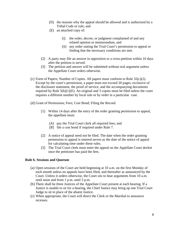- (D) the reasons why the appeal should be allowed and is authorized by a Tribal Code or rule; and
- (E) an attached copy of:
	- (i) the order, decree, or judgment complained of and any related opinion or memorandum, and
	- (ii) any order stating the Trial Court's permission to appeal or finding that the necessary conditions are met.
- (2) A party may file an answer in opposition or a cross-petition within 10 days after the petition is served.
- (3) The petition and answer will be submitted without oral argument unless the Appellate Court orders otherwise.
- (c) Form of Papers; Number of Copies. All papers must conform to Rule  $32(c)(2)$ . Except by the court's permission, a paper must not exceed 20 pages, exclusive of the disclosure statement, the proof of service, and the accompanying documents required by Rule 5(b)(1)(E). An original and 3 copies must be filed unless the court requires a different number by local rule or by order in a particular case.
- (d) Grant of Permission; Fees; Cost Bond; Filing the Record.
	- (1) Within 14 days after the entry of the order granting permission to appeal, the appellant must:
		- (A) pay the Trial Court clerk all required fees; and
		- (B) file a cost bond if required under Rule 7.
	- (2) A notice of appeal need not be filed. The date when the order granting permission to appeal is entered serves as the date of the notice of appeal for calculating time under these rules.
	- (3) The Trial Court clerk must enter the appeal on the Appellate Court docket once the petitioner has paid the fees.

#### <span id="page-7-0"></span>**Rule 6. Sessions and Quorum**

- <span id="page-7-1"></span>(a) Open sessions of the Court are held beginning at 10 a.m. on the first Monday of each month unless no appeals have been filed, and thereafter as announced by the Court. Unless it orders otherwise, the Court sits to hear arguments from 10 a.m. until noon and from 1 p.m. until 3 p.m.
- <span id="page-7-2"></span>(b) There shall be three Justices of the Appellate Court present at each hearing. If a Justice is unable to sit for a hearing, the Chief Justice may bring up one Trial Court Judge to sit in place of the absent Justice.
- <span id="page-7-4"></span><span id="page-7-3"></span>(c) When appropriate, the Court will direct the Clerk or the Marshal to announce recesses.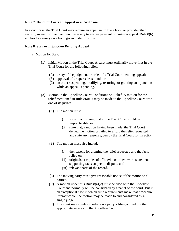# **Rule 7. Bond for Costs on Appeal in a Civil Case**

In a civil case, the Trial Court may require an appellant to file a bond or provide other security in any form and amount necessary to ensure payment of costs on appeal. Rule 8(b) applies to a surety on a bond given under this rule.

### <span id="page-8-0"></span>**Rule 8. Stay or Injunction Pending Appeal**

(a) Motion for Stay.

- (1) Initial Motion in the Trial Court. A party must ordinarily move first in the Trial Court for the following relief:
	- (A) a stay of the judgment or order of a Trial Court pending appeal;
	- (B) approval of a supersedeas bond; or
	- (C) an order suspending, modifying, restoring, or granting an injunction while an appeal is pending.
- (2) Motion in the Appellate Court; Conditions on Relief. A motion for the relief mentioned in Rule  $8(a)(1)$  may be made to the Appellate Court or to one of its judges.
	- (A) The motion must:
		- (i) show that moving first in the Trial Court would be impracticable; or
		- (ii) state that, a motion having been made, the Trial Court denied the motion or failed to afford the relief requested and state any reasons given by the Trial Court for its action.
	- (B) The motion must also include:
		- (i) the reasons for granting the relief requested and the facts relied on;
		- (ii) originals or copies of affidavits or other sworn statements supporting facts subject to dispute; and
		- (iii) relevant parts of the record.
	- (C) The moving party must give reasonable notice of the motion to all parties.
	- (D) A motion under this Rule 8(a)(2) must be filed with the Appellate Court and normally will be considered by a panel of the court. But in an exceptional case in which time requirements make that procedure impracticable, the motion may be made to and considered by a single judge.
	- (E) The court may condition relief on a party's filing a bond or other appropriate security in the Appellate Court.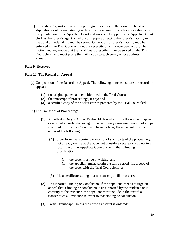(b) Proceeding Against a Surety. If a party gives security in the form of a bond or stipulation or other undertaking with one or more sureties, each surety submits to the jurisdiction of the Appellate Court and irrevocably appoints the Appellate Court clerk as the surety's agent on whom any papers affecting the surety's liability on the bond or undertaking may be served. On motion, a surety's liability may be enforced in the Trial Court without the necessity of an independent action. The motion and any notice that the Trial Court prescribes may be served on the Trial Court clerk, who must promptly mail a copy to each surety whose address is known.

## <span id="page-9-0"></span>**Rule 9. Reserved**

#### <span id="page-9-1"></span>**Rule 10. The Record on Appeal**

- (a) Composition of the Record on Appeal. The following items constitute the record on appeal:
	- (1) the original papers and exhibits filed in the Trial Court;
	- (2) the transcript of proceedings, if any; and
	- (3) a certified copy of the docket entries prepared by the Trial Court clerk.
- (b) The Transcript of Proceedings.
	- (1) Appellant's Duty to Order. Within 14 days after filing the notice of appeal or entry of an order disposing of the last timely remaining motion of a type specified in Rule  $4(a)(4)(A)$ , whichever is later, the appellant must do either of the following:
		- (A) order from the reporter a transcript of such parts of the proceedings not already on file as the appellant considers necessary, subject to a local rule of the Appellate Court and with the following qualifications:
			- (i) the order must be in writing; and
			- (ii) the appellant must, within the same period, file a copy of the order with the Trial Court clerk; or
		- (B) file a certificate stating that no transcript will be ordered.
	- (2) Unsupported Finding or Conclusion. If the appellant intends to urge on appeal that a finding or conclusion is unsupported by the evidence or is contrary to the evidence, the appellant must include in the record a transcript of all evidence relevant to that finding or conclusion.
	- (3) Partial Transcript. Unless the entire transcript is ordered: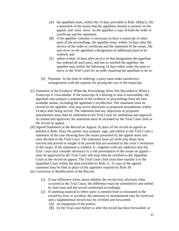- (A) the appellant must, within the 14 days provided in Rule  $10(b)(1)$ , file a statement of the issues that the appellant intends to present on the appeal and must serve on the appellee a copy of both the order or certificate and the statement;
- (B) if the appellee considers it necessary to have a transcript of other parts of the proceedings, the appellee must, within 14 days after the service of the order or certificate and the statement of the issues, file and serve on the appellant a designation of additional parts to be ordered; and
- (C) unless within 14 days after service of that designation the appellant has ordered all such parts, and has so notified the appellee, the appellee may within the following 14 days either order the parts or move in the Trial Court for an order requiring the appellant to do so.
- (4) Payment. At the time of ordering, a party must make satisfactory arrangements with the reporter for paying the cost of the transcript.
- (c) Statement of the Evidence When the Proceedings Were Not Recorded or When a Transcript Is Unavailable. If the transcript of a hearing or trial is unavailable, the appellant may prepare a statement of the evidence or proceedings from the best available means, including the appellant's recollection. The statement must be served on the appellee, who may serve objections or proposed amendments within 14 days after being served. The statement and any objections or proposed amendments must then be submitted to the Trial Court for settlement and approval. As settled and approved, the statement must be included by the Trial Court clerk in the record on appeal.
- (d) Agreed Statement as the Record on Appeal. In place of the record on appeal as defined in Rule 10(a), the parties may prepare, sign, and submit to the Trial Court a statement of the case showing how the issues presented by the appeal arose and were decided in the Trial Court. The statement must set forth only those facts averred and proved or sought to be proved that are essential to the court's resolution of the issues. If the statement is truthful, it—together with any additions that the Trial court may consider necessary to a full presentation of the issues on appeal must be approved by the Trial Court and must then be certified to the Appellate Court as the record on appeal. The Trial Court clerk must then transfer it to the Appellate Court within the time provided by Rule 11. A copy of the agreed statement may be filed in place of the appendix required by Rule 30.
- (e) Correction or Modification of the Record.
	- (1) If any difference arises about whether the record truly discloses what occurred in the Trial Court, the difference must be submitted to and settled by that court and the record conformed accordingly.
	- (2) If anything material to either party is omitted from or misstated in the record by error or accident, the omission or misstatement may be corrected and a supplemental record may be certified and forwarded:
		- (A) on stipulation of the parties;
		- (B) by the Trial court before or after the record has been forwarded; or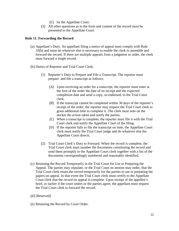- (C) by the Appellate Court.
- (3) All other questions as to the form and content of the record must be presented to the Appellate Court.

# <span id="page-11-0"></span>**Rule 11. Forwarding the Record**

- (a) Appellant's Duty. An appellant filing a notice of appeal must comply with Rule 10(b) and must do whatever else is necessary to enable the clerk to assemble and forward the record. If there are multiple appeals from a judgment or order, the clerk must forward a single record.
- (b) Duties of Reporter and Trial Court Clerk.
	- (1) Reporter's Duty to Prepare and File a Transcript. The reporter must prepare and file a transcript as follows:
		- (A) Upon receiving an order for a transcript, the reporter must enter at the foot of the order the date of its receipt and the expected completion date and send a copy, so endorsed, to the Trial Court clerk.
		- (B) If the transcript cannot be completed within 30 days of the reporter's receipt of the order, the reporter may request the Trial Court clerk to grant additional time to complete it. The clerk must note on the docket the action taken and notify the parties.
		- (C) When a transcript is complete, the reporter must file it with the Trial Court clerk and notify the Appellate Court of the filing.
		- (D) If the reporter fails to file the transcript on time, the Appellate Court clerk must notify the Trial Court judge and do whatever else the Appellate Court directs.
	- (2) Trial Court Clerk's Duty to Forward. When the record is complete, the Trial Court clerk must number the documents constituting the record and send them promptly to the Appellate Court clerk together with a list of the documents correspondingly numbered and reasonably identified.
- (c) Retaining the Record Temporarily in the Trial Court for Use in Preparing the Appeal. The parties may stipulate, or the Trial Court on motion may order, that the Trial Court clerk retain the record temporarily for the parties to use in preparing the papers on appeal. In that event the Trial Court clerk must certify to the Appellate Court clerk that the record on appeal is complete. Upon receipt of the appellee's brief, or earlier if the court orders or the parties agree, the appellant must request the Trial Court clerk to forward the record.

# (d) [Reserved]

(e) Retaining the Record by Court Order.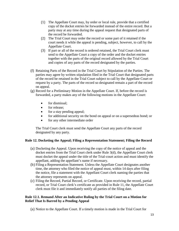- (1) The Appellate Court may, by order or local rule, provide that a certified copy of the docket entries be forwarded instead of the entire record. But a party may at any time during the appeal request that designated parts of the record be forwarded.
- (2) The Trial Court may order the record or some part of it retained if the court needs it while the appeal is pending, subject, however, to call by the Appellate Court.
- (3) If part or all of the record is ordered retained, the Trial Court clerk must send to the Appellate Court a copy of the order and the docket entries together with the parts of the original record allowed by the Trial Court and copies of any parts of the record designated by the parties.
- (f) Retaining Parts of the Record in the Trial Court by Stipulation of the Parties. The parties may agree by written stipulation filed in the Trial Court that designated parts of the record be retained in the Trial Court subject to call by the Appellate Court or request by a party. The parts of the record so designated remain a part of the record on appeal.
- (g) Record for a Preliminary Motion in the Appellate Court. If, before the record is forwarded, a party makes any of the following motions in the Appellate Court:
	- for dismissal:
	- for release:
	- for a stay pending appeal;
	- for additional security on the bond on appeal or on a supersedeas bond; or
	- for any other intermediate order

The Trial Court clerk must send the Appellate Court any parts of the record designated by any party.

## <span id="page-12-0"></span>**Rule 12. Docketing the Appeal; Filing a Representation Statement; Filing the Record**

- (a) Docketing the Appeal. Upon receiving the copy of the notice of appeal and the docket entries from the Trial Court clerk under Rule 3(d), the Appellate Court clerk must docket the appeal under the title of the Trial-court action and must identify the appellant, adding the appellant's name if necessary.
- (b) Filing a Representation Statement. Unless the Appellate Court designates another time, the attorney who filed the notice of appeal must, within 14 days after filing the notice, file a statement with the Appellant Court clerk naming the parties that the attorney represents on appeal.
- (c) Filing the Record, Partial Record, or Certificate. Upon receiving the record, partial record, or Trial Court clerk's certificate as provided in Rule 11, the Appellate Court clerk must file it and immediately notify all parties of the filing date.

# <span id="page-12-1"></span>**Rule 12.1. Remand After an Indicative Ruling by the Trial Court on a Motion for Relief That Is Barred by a Pending Appeal**

(a) Notice to the Appellate Court. If a timely motion is made in the Trial Court for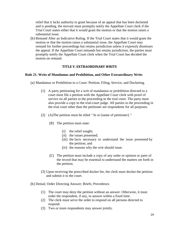relief that it lacks authority to grant because of an appeal that has been docketed and is pending, the movant must promptly notify the Appellate Court clerk if the Trial Court states either that it would grant the motion or that the motion raises a substantial issue.

(b) Remand After an Indicative Ruling. If the Trial Court states that it would grant the motion or that the motion raises a substantial issue, the Appellate Court may remand for further proceedings but retains jurisdiction unless it expressly dismisses the appeal. If the Appellate Court remands but retains jurisdiction, the parties must promptly notify the Appellate Court clerk when the Trial Court has decided the motion on remand.

## **TITLE V. EXTRAORDINARY WRITS**

#### <span id="page-13-1"></span><span id="page-13-0"></span>**Rule 21. Writs of Mandamus and Prohibition, and Other Extraordinary Writs**

- (a) Mandamus or Prohibition to a Court: Petition, Filing, Service, and Docketing.
	- (1) A party petitioning for a writ of mandamus or prohibition directed to a court must file a petition with the Appellate Court clerk with proof of service on all parties to the proceeding in the trial court. The party must also provide a copy to the trial-court judge. All parties to the proceeding in the trial court other than the petitioner are respondents for all purposes.
	- (2) (A)The petition must be titled ''In re [name of petitioner].''
		- (B) The petition must state:
			- (i) the relief sought;
			- (ii) the issues presented;
			- (iii) the facts necessary to understand the issue presented by the petition; and
			- (iv) the reasons why the writ should issue.
		- (C) The petition must include a copy of any order or opinion or parts of the record that may be essential to understand the matters set forth in the petition.
	- (3) Upon receiving the prescribed docket fee, the clerk must docket the petition and submit it to the court.
- (b) Denial; Order Directing Answer; Briefs; Precedence.
	- (1) The court may deny the petition without an answer. Otherwise, it must order the respondent, if any, to answer within a fixed time.
	- (2) The clerk must serve the order to respond on all persons directed to respond.
	- (3) Two or more respondents may answer jointly.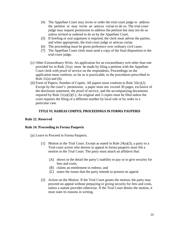- (4) The Appellate Court may invite or order the trial-court judge to address the petition or may invite an amicus curiae to do so. The trial-court judge may request permission to address the petition but may not do so unless invited or ordered to do so by the Appellate Court.
- (5) If briefing or oral argument is required, the clerk must advise the parties, and when appropriate, the trial-court judge or amicus curiae.
- (6) The proceeding must be given preference over ordinary civil cases.
- (7) The Appellate Court clerk must send a copy of the final disposition to the trial-court judge.
- (c) Other Extraordinary Writs. An application for an extraordinary writ other than one provided for in Rule 21(a) must be made by filing a petition with the Appellate Court clerk with proof of service on the respondents. Proceedings on the application must conform, so far as is practicable, to the procedures prescribed in Rule  $21(a)$  and  $(b)$ .
- (d) Form of Papers; Number of Copies. All papers must conform to Rule 32(c)(2). Except by the court's permission, a paper must not exceed 30 pages, exclusive of the disclosure statement, the proof of service, and the accompanying documents required by Rule  $21(a)(2)(C)$ . An original and 3 copies must be filed unless the court requires the filing of a different number by local rule or by order in a particular case.

# **TITLE VI. HABEAS CORPUS; PROCEEDINGS IN FORMA PAUPERIS**

## <span id="page-14-1"></span><span id="page-14-0"></span>**Rule 22. Reserved**

## <span id="page-14-2"></span>**Rule 24. Proceeding in Forma Pauperis**

- (a) Leave to Proceed in Forma Pauperis.
	- (1) Motion in the Trial Court. Except as stated in Rule  $24(a)(3)$ , a party to a Trial-court action who desires to appeal in forma pauperis must file a motion in the Trial Court. The party must attach an affidavit that:
		- (A) shows in the detail the party's inability to pay or to give security for fees and costs;
		- (B) claims an entitlement to redress; and
		- (C) states the issues that the party intends to present on appeal.
	- (2) Action on the Motion. If the Trial Court grants the motion, the party may proceed on appeal without prepaying or giving security for fees and costs, unless a statute provides otherwise. If the Trial Court denies the motion, it must state its reasons in writing.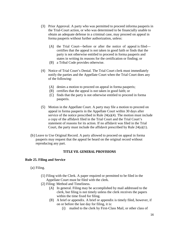- (3) Prior Approval. A party who was permitted to proceed informa pauperis in the Trial-Court action, or who was determined to be financially unable to obtain an adequate defense in a criminal case, may proceed on appeal in forma pauperis without further authorization, unless:
	- (A) the Trial Court—before or after the notice of appeal is filed certifies that the appeal is not taken in good faith or finds that the party is not otherwise entitled to proceed in forma pauperis and states in writing its reasons for the certification or finding; or
	- (B) a Tribal Code provides otherwise.
- (4) Notice of Trial Court's Denial. The Trial Court clerk must immediately notify the parties and the Appellate Court when the Trial Court does any of the following:
	- (A) denies a motion to proceed on appeal in forma pauperis;
	- (B) certifies that the appeal is not taken in good faith; or
	- (C) finds that the party is not otherwise entitled to proceed in forma pauperis.
- (5) Motion in the Appellate Court. A party may file a motion to proceed on appeal in forma pauperis in the Appellate Court within 30 days after service of the notice prescribed in Rule  $24(a)(4)$ . The motion must include a copy of the affidavit filed in the Trial Court and the Trial Court's statement of reasons for its action. If no affidavit was filed in the Trial Court, the party must include the affidavit prescribed by Rule 24(a)(1).
- (b) Leave to Use Original Record. A party allowed to proceed on appeal in forma pauperis may request that the appeal be heard on the original record without reproducing any part.

#### **TITLE VII. GENERAL PROVISIONS**

# <span id="page-15-1"></span><span id="page-15-0"></span>**Rule 25. Filing and Service**

- (a) Filing.
	- (1) Filing with the Clerk. A paper required or permitted to be filed in the Appellate Court must be filed with the clerk.
	- (2) Filing: Method and Timeliness.
		- (A) In general. Filing may be accomplished by mail addressed to the clerk, but filing is not timely unless the clerk receives the papers within the time fixed for filing.
		- (B) A brief or appendix. A brief or appendix is timely filed, however, if on or before the last day for filing, it is:
			- (i) mailed to the clerk by First-Class Mail, or other class of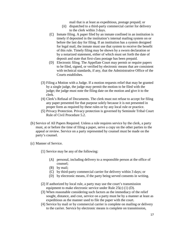mail that is at least as expeditious, postage prepaid; or

- (ii) dispatched to a third-party commercial carrier for delivery to the clerk within 3 days.
- (C) Inmate filing. A paper filed by an inmate confined in an institution is timely if deposited in the institution's internal mailing system on or before the last day for filing. If an institution has a system designed for legal mail, the inmate must use that system to receive the benefit of this rule. Timely filing may be shown by a sworn declaration or by a notarized statement, either of which must set forth the date of deposit and state that first-class postage has been prepaid.
- (D) Electronic filing. The Appellate Court may permit or require papers to be filed, signed, or verified by electronic means that are consistent with technical standards, if any, that the Administrative Office of the Courts establishes.
- (3) Filing a Motion with a Judge. If a motion requests relief that may be granted by a single judge, the judge may permit the motion to be filed with the judge; the judge must note the filing date on the motion and give it to the clerk.
- (4) Clerk's Refusal of Documents. The clerk must not refuse to accept for filing any paper presented for that purpose solely because it is not presented in proper form as required by these rules or by any local rule or practice.
- (5) Privacy Protection. Privacy protection is governed by Seminole Tribal Court Rule of Civil Procedure 5.2.
- (b) Service of All Papers Required. Unless a rule requires service by the clerk, a party must, at or before the time of filing a paper, serve a copy on the other parties to the appeal or review. Service on a party represented by counsel must be made on the party's counsel.
- (c) Manner of Service.
	- (1) Service may be any of the following:
		- (A) personal, including delivery to a responsible person at the office of counsel;
		- (B) by mail;
		- (C) by third-party commercial carrier for delivery within 3 days; or
		- (D) by electronic means, if the party being served consents in writing.
	- (2) If authorized by local rule, a party may use the court's transmission equipment to make electronic service under Rule 25(c) (1) (D).
	- (3) When reasonable considering such factors as the immediacy of the relief sought, distance, and cost, service on a party must be by a manner at least as expeditious as the manner used to file the paper with the court.
	- (4) Service by mail or by commercial carrier is complete on mailing or delivery to the carrier. Service by electronic means is complete on transmission,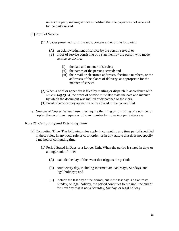unless the party making service is notified that the paper was not received by the party served.

- (d) Proof of Service.
	- (1) A paper presented for filing must contain either of the following:
		- (A) an acknowledgment of service by the person served; or
		- (B) proof of service consisting of a statement by the person who made service certifying:
			- (i) the date and manner of service;
			- (ii) the names of the persons served; and
			- (iii) their mail or electronic addresses, facsimile numbers, or the addresses of the places of delivery, as appropriate for the manner of service.
	- (2) When a brief or appendix is filed by mailing or dispatch in accordance with Rule  $25(a)(2)(B)$ , the proof of service must also state the date and manner by which the document was mailed or dispatched to the clerk.
	- (3) Proof of service may appear on or be affixed to the papers filed.
- (e) Number of Copies. When these rules require the filing or furnishing of a number of copies, the court may require a different number by order in a particular case.

#### <span id="page-17-0"></span>**Rule 26. Computing and Extending Time**

- (a) Computing Time. The following rules apply in computing any time period specified in these rules, in any local rule or court order, or in any statute that does not specify a method of computing time.
	- (1) Period Stated in Days or a Longer Unit. When the period is stated in days or a longer unit of time:
		- (A) exclude the day of the event that triggers the period;
		- (B) count every day, including intermediate Saturdays, Sundays, and legal holidays; and
		- (C) include the last day of the period, but if the last day is a Saturday, Sunday, or legal holiday, the period continues to run until the end of the next day that is not a Saturday, Sunday, or legal holiday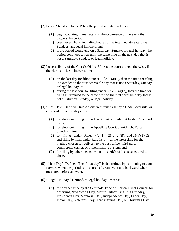- (2) Period Stated in Hours. When the period is stated in hours:
	- (A) begin counting immediately on the occurrence of the event that triggers the period;
	- (B) count every hour, including hours during intermediate Saturdays, Sundays, and legal holidays; and
	- (C) if the period would end on a Saturday, Sunday, or legal holiday, the period continues to run until the same time on the next day that is not a Saturday, Sunday, or legal holiday.
- (3) Inaccessibility of the Clerk's Office. Unless the court orders otherwise, if the clerk's office is inaccessible:
	- (A) on the last day for filing under Rule  $26(a)(1)$ , then the time for filing is extended to the first accessible day that is not a Saturday, Sunday, or legal holiday; or
	- (B) during the last hour for filing under Rule  $26(a)(2)$ , then the time for filing is extended to the same time on the first accessible day that is not a Saturday, Sunday, or legal holiday.
- (4) ''Last Day'' Defined. Unless a different time is set by a Code, local rule, or court order, the last day ends:
	- (A) for electronic filing in the Trial Court, at midnight Eastern Standard Time;
	- (B) for electronic filing in the Appellate Court, at midnight Eastern Standard Time;
	- (C) for filing under Rules  $4(c)(1)$ ,  $25(a)(2)(B)$ , and  $25(a)(2)(C)$  and filing by mail under Rule 13(b)—at the latest time for the method chosen for delivery to the post office, third-party commercial carrier, or prison mailing system; and
	- (D) for filing by other means, when the clerk's office is scheduled to close.
- (5) ''Next Day'' Defined. The ''next day'' is determined by continuing to count forward when the period is measured after an event and backward when measured before an event.
- (6) ''Legal Holiday'' Defined. ''Legal holiday'' means:
	- (A) the day set aside by the Seminole Tribe of Florida Tribal Council for observing New Year's Day, Martin Luther King Jr.'s Birthday, President's Day, Memorial Day, Independence Day, Labor Day, Indian Day, Veterans' Day, Thanksgiving Day, or Christmas Day;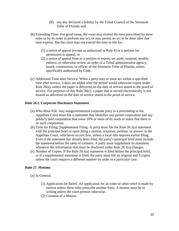- (B) any day declared a holiday by the Tribal Council of the Seminole Tribe of Florida; and
- (b) Extending Time. For good cause, the court may extend the time prescribed by these rules or by its order to perform any act, or may permit an act to be done after that time expires. But the court may not extend the time to file for:
	- (1) a notice of appeal (except as authorized in Rule 4) or a petition for permission to appeal; or
	- (2) a notice of appeal from or a petition to enjoin, set aside, suspend, modify, enforce, or otherwise review an order of a Tribal administrative agency, board, commission, or officer of the Seminole Tribe of Florida, unless specifically authorized by Code.
- (c) Additional Time after Service. When a party may or must act within a specified time after service, 3 days are added after the period would otherwise expire under Rule 26(a), unless the paper is delivered on the date of service stated in the proof of service. For purposes of this Rule 26(c), a paper that is served electronically is not treated as delivered on the date of service stated in the proof of service.

#### <span id="page-19-0"></span>**Rule 26.1. Corporate Disclosure Statement**

- (a) Who Must File. Any nongovernmental corporate party to a proceeding in the Appellate Court must file a statement that identifies any parent corporation and any publicly held corporation that owns 10% or more of its stock or states that there is no such corporation.
- (b) Time for Filing; Supplemental Filing. A party must file the Rule 26.1(a) statement with the principal brief or upon filing a motion, response, petition, or answer in the Appellate Court, whichever occurs first, unless a local rule requires earlier filing. Even if the statement has already been filed, the party's principal brief must include the statement before the table of contents. A party must supplement its statement whenever the information that must be disclosed under Rule 26.1(a) changes.
- (c) Number of Copies. If the Rule 26.1(a) statement is filed before the principal brief, or if a supplemental statement is filed, the party must file an original and 3 copies unless the court requires a different number by order in a particular case.

#### <span id="page-19-1"></span>**Rule 27. Motions**

- (a) In General.
	- (1) Application for Relief. An application for an order or other relief is made by motion unless these rules prescribe another form. A motion must be in writing unless the court permits otherwise.
	- (2) Contents of a Motion.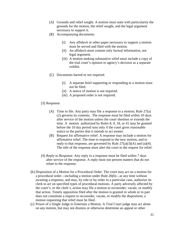- (A) Grounds and relief sought. A motion must state with particularity the grounds for the motion, the relief sought, and the legal argument necessary to support it.
- (B) Accompanying documents.
	- (i) Any affidavit or other paper necessary to support a motion must be served and filed with the motion.
	- (ii) An affidavit must contain only factual information, not legal argument.
	- (iii) A motion seeking substantive relief must include a copy of the trial court's opinion or agency's decision as a separate exhibit.
- (C) Documents barred or not required.
	- (i) A separate brief supporting or responding to a motion must not be filed.
	- (ii) A notice of motion is not required.
	- (iii) A proposed order is not required.

# (3) Response.

- (A) Time to file. Any party may file a response to a motion; Rule 27(a) (2) governs its contents. The response must be filed within 10 days after service of the motion unless the court shortens or extends the time. A motion authorized by Rules 8, 9, 18, or 41 may be granted before the 10 day period runs only if the court gives reasonable notice to the parties that it intends to act sooner.
- (B) Request for affirmative relief. A response may include a motion for affirmative relief. The time to respond to the new motion, and to reply to that response, are governed by Rule  $27(a)(3)(A)$  and  $(a)(4)$ . The title of the response must alert the court to the request for relief.
- (4) Reply to Response. Any reply to a response must be filed within 7 days after service of the response. A reply must not present matters that do not relate to the response.
- (b) Disposition of a Motion for a Procedural Order. The court may act on a motion for a procedural order—including a motion under Rule 26(b)—at any time without awaiting a response, and may, by rule or by order in a particular case, authorize its clerk to act on specified types of procedural motions. A party adversely affected by the court's, or the clerk's, action may file a motion to reconsider, vacate, or modify that action. Timely opposition filed after the motion is granted in whole or in part does not constitute a request to reconsider, vacate, or modify the disposition; a motion requesting that relief must be filed.
- (c) Power of a Single Judge to Entertain a Motion. A Trial Court judge may act alone on any motion, but may not dismiss or otherwise determine an appeal or other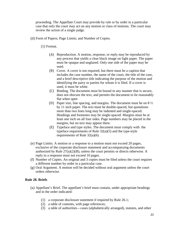proceeding. The Appellate Court may provide by rule or by order in a particular case that only the court may act on any motion or class of motions. The court may review the action of a single judge.

(d) Form of Papers; Page Limits; and Number of Copies.

(1) Format.

- (A) Reproduction. A motion, response, or reply may be reproduced by any process that yields a clear black image on light paper. The paper must be opaque and unglazed. Only one side of the paper may be used.
- (B) Cover. A cover is not required, but there must be a caption that includes the case number, the name of the court, the title of the case, and a brief descriptive title indicating the purpose of the motion and identifying the party or parties for whom it is filed. If a cover is used, it must be white.
- (C) Binding. The document must be bound in any manner that is secure, does not obscure the text, and permits the document to lie reasonably flat when open
- (D) Paper size, line spacing, and margins. The document must be on 8 ½ by 11 inch paper. The text must be double-spaced, but quotations more than two lines long may be indented and single-spaced. Headings and footnotes may be single-spaced. Margins must be at least one inch on all four sides. Page numbers may be placed in the margins, but no text may appear there.
- (E) Typeface and type styles. The document must comply with the typeface requirements of Rule 32(a)(5) and the type-style requirements of Rule 32(a)(6).
- (e) Page Limits. A motion or a response to a motion must not exceed 20 pages, exclusive of the corporate disclosure statement and accompanying documents authorized by Rule  $27(a)(2)(B)$ , unless the court permits or directs otherwise. A reply to a response must not exceed 10 pages.
- (f) Number of Copies. An original and 3 copies must be filed unless the court requires a different number by order in a particular case.
- (g) Oral Argument. A motion will be decided without oral argument unless the court orders otherwise.

# <span id="page-21-0"></span>**Rule 28. Briefs**

- (a) Appellant's Brief. The appellant's brief must contain, under appropriate headings and in the order indicated:
	- (1) a corporate disclosure statement if required by Rule 26.1;
	- (2) a table of contents, with page references;
	- (3) a table of authorities—cases (alphabetically arranged), statutes, and other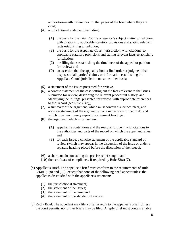authorities—with references to the pages of the brief where they are cited;

- (4) a jurisdictional statement, including:
	- (A) the basis for the Trial Court's or agency's subject matter jurisdiction, with citations to applicable statutory provisions and stating relevant facts establishing jurisdiction;
	- (B) the basis for the Appellate Court' jurisdiction, with citations to applicable statutory provisions and stating relevant facts establishing jurisdiction;
	- (C) the filing dates establishing the timeliness of the appeal or petition for review; and
	- (D) an assertion that the appeal is from a final order or judgment that disposes of all parties' claims, or information establishing the Appellate Court' jurisdiction on some other basis;
- (5) a statement of the issues presented for review;
- (6) a concise statement of the case setting out the facts relevant to the issues submitted for review, describing the relevant procedural history, and identifying the rulings presented for review, with appropriate references to the record (see Rule 28(e));
- (7) a summary of the argument, which must contain a succinct, clear, and accurate statement of the arguments made in the body of the brief, and which must not merely repeat the argument headings;
- (8) the argument, which must contain:
	- (A) appellant's contentions and the reasons for them, with citations to the authorities and parts of the record on which the appellant relies; and
	- (B) for each issue, a concise statement of the applicable standard of review (which may appear in the discussion of the issue or under a separate heading placed before the discussion of the issues);
- (9) a short conclusion stating the precise relief sought; and
- (10) the certificate of compliance, if required by Rule 32(a) (7).
- (b) Appellee's Brief. The appellee's brief must conform to the requirements of Rule  $28(a)(1)$ –(8) and (10), except that none of the following need appear unless the appellee is dissatisfied with the appellant's statement:
	- (1) the jurisdictional statement;
	- (2) the statement of the issues;
	- (3) the statement of the case; and
	- (4) the statement of the standard of review.
- (c) Reply Brief. The appellant may file a brief in reply to the appellee's brief. Unless the court permits, no further briefs may be filed. A reply brief must contain a table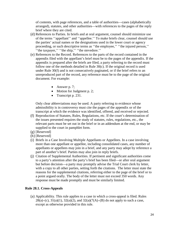of contents, with page references, and a table of authorities—cases (alphabetically arranged), statutes, and other authorities—with references to the pages of the reply brief where they are cited.

- (d) References to Parties. In briefs and at oral argument, counsel should minimize use of the terms ''appellant'' and ''appellee.'' To make briefs clear, counsel should use the parties' actual names or the designations used in the lower court or agency proceeding, or such descriptive terms as ''the employee,'' ''the injured person,'' ''the taxpayer,'' ''the ship,'' ''the stevedore.''
- (e) References to the Record. References to the parts of the record contained in the appendix filed with the appellant's brief must be to the pages of the appendix. If the appendix is prepared after the briefs are filed, a party referring to the record must follow one of the methods detailed in Rule 30(c). If the original record is used under Rule 30(f) and is not consecutively paginated, or if the brief refers to an unreproduced part of the record, any reference must be to the page of the original document. For example:
	- Answer p. 7;
	- Motion for Judgment p. 2;
	- Transcript p. 231.

Only clear abbreviations may be used. A party referring to evidence whose admissibility is in controversy must cite the pages of the appendix or of the transcript at which the evidence was identified, offered, and received or rejected.

- (f) Reproduction of Statutes, Rules, Regulations, etc. If the court's determination of the issues presented requires the study of statutes, rules, regulations, etc., the relevant parts must be set out in the brief or in an addendum at the end, or may be supplied to the court in pamphlet form.
- (g) [Reserved]
- (h) [Reserved]
- (i) Briefs in a Case Involving Multiple Appellants or Appellees. In a case involving more than one appellant or appellee, including consolidated cases, any number of appellants or appellees may join in a brief, and any party may adopt by reference a part of another's brief. Parties may also join in reply briefs.
- (j) Citation of Supplemental Authorities. If pertinent and significant authorities come to a party's attention after the party's brief has been filed—or after oral argument but before decision—a party may promptly advise the Trial Court clerk by letter, with a copy to all other parties, setting forth the citations. The letter must state the reasons for the supplemental citations, referring either to the page of the brief or to a point argued orally. The body of the letter must not exceed 350 words. Any response must be made promptly and must be similarly limited.

#### <span id="page-23-0"></span>**Rule 28.1. Cross-Appeals**

(a) Applicability. This rule applies to a case in which a cross-appeal is filed. Rules  $28(a)$ –(c),  $31(a)(1)$ ,  $32(a)(2)$ , and  $32(a)(7(A)$ –(B) do not apply to such a case, except as otherwise provided in this rule.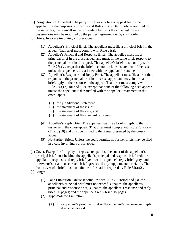- (b) Designation of Appellant. The party who files a notice of appeal first is the appellant for the purposes of this rule and Rules 30 and 34. If notices are filed on the same day, the plaintiff in the proceeding below is the appellant. These designations may be modified by the parties' agreement or by court order.
- (c) Briefs. In a case involving a cross-appeal:
	- (1) Appellant's Principal Brief. The appellant must file a principal brief in the appeal. That brief must comply with Rule 28(a).
	- (2) Appellee's Principal and Response Brief. The appellee must file a principal brief in the cross-appeal and must, in the same brief, respond to the principal brief in the appeal. That appellee's brief must comply with Rule 28(a), except that the brief need not include a statement of the case unless the appellee is dissatisfied with the appellant's statement.
	- (3) Appellant's Response and Reply Brief. The appellant must file a brief that responds to the principal brief in the cross-appeal and may, in the same brief, reply to the response in the appeal. That brief must comply with Rule  $28(a)(2)$ –(8) and (10), except that none of the following need appear unless the appellant is dissatisfied with the appellee's statement in the cross- appeal:
		- (A) the jurisdictional statement;
		- (B) the statement of the issues;
		- (C) the statement of the case; and
		- (D) the statement of the standard of review.
	- (4) Appellee's Reply Brief. The appellee may file a brief in reply to the response in the cross-appeal. That brief must comply with Rule 28(a)(2)– (3) and (10) and must be limited to the issues presented by the crossappeal.
	- (5) No Further Briefs. Unless the court permits, no further briefs may be filed in a case involving a cross-appeal.
- (d) Cover. Except for filings by unrepresented parties, the cover of the appellant's principal brief must be blue; the appellee's principal and response brief, red; the appellant's response and reply brief, yellow; the appellee's reply brief, gray; and intervenor's or amicus curiae's brief, green; and any supplemental brief, tan. The front cover of a brief must contain the information required by Rule 32(a)(2).
- (e) Length.
	- (1) Page Limitation. Unless it complies with Rule 28.1(e)(2) and (3), the appellant's principal brief must not exceed 30 pages; the appellee's principal and response brief, 35 pages; the appellant's response and reply brief, 30 pages; and the appellee's reply brief, 15 pages.
	- (2) Type-Volume Limitation.
		- (A) The appellant's principal brief or the appellant's response and reply brief is acceptable if: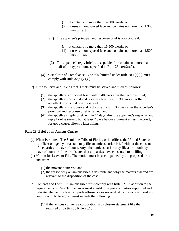- (i) it contains no more than 14,000 words; or
- (ii) it uses a monospaced face and contains no more than 1,300 lines of text.
- (B) The appellee's principal and response brief is acceptable if:
	- (i) it contains no more than 16,500 words; or
	- (ii) it uses a monospaced face and contains no more than 1,500 lines of text.
- (C) The appellee's reply brief is acceptable if it contains no more than half of the type volume specified in Rule  $28.1(e)(2)(A)$ .
- (3) Certificate of Compliance. A brief submitted under Rule 28.1(e)(2) must comply with Rule  $32(a)(7)(C)$ .
- (f) Time to Serve and File a Brief. Briefs must be served and filed as follows:
	- (1) the appellant's principal brief, within 40 days after the record is filed;
	- (2) the appellee's principal and response brief, within 30 days after the appellant's principal brief is served;
	- (3) the appellant's response and reply brief, within 30 days after the appellee's principal and response brief is served; and
	- (4) the appellee's reply brief, within 14 days after the appellant's response and reply brief is served, but at least 7 days before argument unless the court, for good cause, allows a later filing.

## <span id="page-25-0"></span>**Rule 29. Brief of an Amicus Curiae**

- (a) When Permitted. The Seminole Tribe of Florida or its officer, the United States or its officer or agency, or a state may file an amicus curiae brief without the consent of the parties or leave of court. Any other amicus curiae may file a brief only by leave of court or if the brief states that all parties have consented to its filing.
- (b) Motion for Leave to File. The motion must be accompanied by the proposed brief and state:
	- (1) the movant's interest; and
	- (2) the reason why an amicus brief is desirable and why the matters asserted are relevant to the disposition of the case.
- (c) Contents and Form. An amicus brief must comply with Rule 32. In addition to the requirements of Rule 32, the cover must identify the party or parties supported and indicate whether the brief supports affirmance or reversal. An amicus brief need not comply with Rule 28, but must include the following:
	- (1) if the amicus curiae is a corporation, a disclosure statement like that required of parties by Rule 26.1;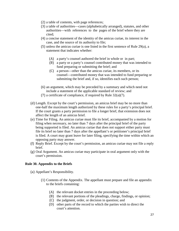- (2) a table of contents, with page references;
- (3) a table of authorities—cases (alphabetically arranged), statutes, and other authorities—with references to the pages of the brief where they are cited;
- (4) a concise statement of the identity of the amicus curiae, its interest in the case, and the source of its authority to file;
- (5) unless the amicus curiae is one listed in the first sentence of Rule 29(a), a statement that indicates whether:
	- (A) a party's counsel authored the brief in whole or in part;
	- (B) a party or a party's counsel contributed money that was intended to fund preparing or submitting the brief; and
	- (C) a person—other than the amicus curiae, its members, or its counsel—contributed money that was intended to fund preparing or submitting the brief and, if so, identifies each such person;
- (6) an argument, which may be preceded by a summary and which need not include a statement of the applicable standard of review; and
- (7) a certificate of compliance, if required by Rule  $32(a)(7)$ .
- (d) Length. Except by the court's permission, an amicus brief may be no more than one-half the maximum length authorized by these rules for a party's principal brief. If the court grants a party permission to file a longer brief, that extension does not affect the length of an amicus brief.
- (e) Time for Filing. An amicus curiae must file its brief, accompanied by a motion for filing when necessary, no later than 7 days after the principal brief of the party being supported is filed. An amicus curiae that does not support either party must file its brief no later than 7 days after the appellant's or petitioner's principal brief is filed. A court may grant leave for later filing, specifying the time within which an opposing party may answer.
- (f) Reply Brief. Except by the court's permission, an amicus curiae may not file a reply brief.
- (g) Oral Argument. An amicus curiae may participate in oral argument only with the court's permission.

## <span id="page-26-0"></span>**Rule 30. Appendix to the Briefs**

- (a) Appellant's Responsibility.
	- (1) Contents of the Appendix. The appellant must prepare and file an appendix to the briefs containing:
		- (A) the relevant docket entries in the proceeding below;
		- (B) the relevant portions of the pleadings, charge, findings, or opinion;
		- (C) the judgment, order, or decision in question; and
		- (D) other parts of the record to which the parties wish to direct the court's attention.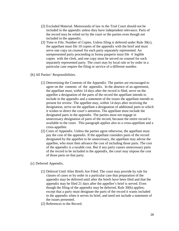- (2) Excluded Material. Memoranda of law in the Trial Court should not be included in the appendix unless they have independent relevance. Parts of the record may be relied on by the court or the parties even though not included in the appendix.
- (3) Time to File; Number of Copies. Unless filing is deferred under Rule 30(c), the appellant must file 10 copies of the appendix with the brief and must serve one copy on counsel for each party separately represented. An unrepresented party proceeding in forma pauperis must file 4 legible copies with the clerk, and one copy must be served on counsel for each separately represented party. The court may by local rule or by order in a particular case require the filing or service of a different number.
- (b) All Parties' Responsibilities.
	- (1) Determining the Contents of the Appendix. The parties are encouraged to agree on the contents of the appendix. In the absence of an agreement, the appellant must, within 14 days after the record is filed, serve on the appellee a designation of the parts of the record the appellant intends to include in the appendix and a statement of the issues the appellant intends to present for review. The appellee may, within 14 days after receiving the designation, serve on the appellant a designation of additional parts to which it wishes to direct the court's attention. The appellant must include the designated parts in the appendix. The parties must not engage in unnecessary designation of parts of the record, because the entire record is available to the court. This paragraph applies also to a cross-appellant and a cross-appellee.
	- (2) Costs of Appendix. Unless the parties agree otherwise, the appellant must pay the cost of the appendix. If the appellant considers parts of the record designated by the appellee to be unnecessary, the appellant may advise the appellee, who must then advance the cost of including those parts. The cost of the appendix is a taxable cost. But if any party causes unnecessary parts of the record to be included in the appendix, the court may impose the cost of those parts on that party.
- (c) Deferred Appendix.
	- (1) Deferral Until After Briefs Are Filed. The court may provide by rule for classes of cases or by order in a particular case that preparation of the appendix may be deferred until after the briefs have been filed and that the appendix may be filed 21 days after the appellee's brief is served. Even though the filing of the appendix may be deferred, Rule 30(b) applies; except that a party must designate the parts of the record it wants included in the appendix when it serves its brief, and need not include a statement of the issues presented.
	- (2) References to the Record.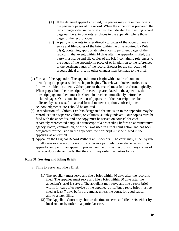- (A) If the deferred appendix is used, the parties may cite in their briefs the pertinent pages of the record. When the appendix is prepared, the record pages cited in the briefs must be indicated by inserting record page numbers, in brackets, at places in the appendix where those pages of the record appear.
- (B) A party who wants to refer directly to pages of the appendix may serve and file copies of the brief within the time required by Rule 31(a), containing appropriate references to pertinent pages of the record. In that event, within 14 days after the appendix is filed, the party must serve and file copies of the brief, containing references to the pages of the appendix in place of or in addition to the references to the pertinent pages of the record. Except for the correction of typographical errors, no other changes may be made to the brief.
- (d) Format of the Appendix. The appendix must begin with a table of contents identifying the page at which each part begins. The relevant docket entries must follow the table of contents. Other parts of the record must follow chronologically. When pages from the transcript of proceedings are placed in the appendix, the transcript page numbers must be shown in brackets immediately before the included pages. Omissions in the text of papers or of the transcript must be indicated by asterisks. Immaterial formal matters (captions, subscriptions, acknowledgments, etc.) should be omitted.
- (e) Reproduction of Exhibits. Exhibits designated for inclusion in the appendix may be reproduced in a separate volume, or volumes, suitably indexed. Four copies must be filed with the appendix, and one copy must be served on counsel for each separately represented party. If a transcript of a proceeding before an administrative agency, board, commission, or officer was used in a trial court action and has been designated for inclusion in the appendix, the transcript must be placed in the appendix as an exhibit.
- (f) Appeal on the Original Record Without an Appendix. The court may, either by rule for all cases or classes of cases or by order in a particular case, dispense with the appendix and permit an appeal to proceed on the original record with any copies of the record, or relevant parts, that the court may order the parties to file.

# <span id="page-28-0"></span>**Rule 31. Serving and Filing Briefs**

- (a) Time to Serve and File a Brief.
	- (1) The appellant must serve and file a brief within 40 days after the record is filed. The appellee must serve and file a brief within 30 days after the appellant's brief is served. The appellant may serve and file a reply brief within 14 days after service of the appellee's brief but a reply brief must be filed at least 7 days before argument, unless the court, for good cause, allows a later filing.
	- (2) The Appellate Court may shorten the time to serve and file briefs, either by local rule or by order in a particular case.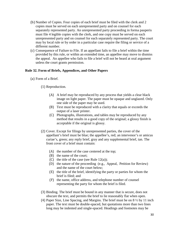- (b) Number of Copies. Four copies of each brief must be filed with the clerk and 2 copies must be served on each unrepresented party and on counsel for each separately represented party. An unrepresented party proceeding in forma pauperis must file 4 legible copies with the clerk, and one copy must be served on each unrepresented party and on counsel for each separately represented party. The court may by local rule or by order in a particular case require the filing or service of a different number.
- (c) Consequence of Failure to File. If an appellant fails to file a brief within the time provided by this rule, or within an extended time, an appellee may move to dismiss the appeal. An appellee who fails to file a brief will not be heard at oral argument unless the court grants permission.

## <span id="page-29-0"></span>**Rule 32. Form of Briefs, Appendices, and Other Papers**

(a) Form of a Brief.

(1) Reproduction.

- (A) A brief may be reproduced by any process that yields a clear black image on light paper. The paper must be opaque and unglazed. Only one side of the paper may be used.
- (B) Text must be reproduced with a clarity that equals or exceeds the output of a laser printer.
- (C) Photographs, illustrations, and tables may be reproduced by any method that results in a good copy of the original; a glossy finish is acceptable if the original is glossy.
- (2) Cover. Except for filings by unrepresented parties, the cover of the appellant's brief must be blue; the appellee's, red; an intervenor's or amicus curiae's, green; any reply brief, gray and any supplemental brief, tan. The front cover of a brief must contain:
	- (A) the number of the case centered at the top;
	- (B) the name of the court;
	- (C) the title of the case (see Rule  $12(a)$ );
	- (D) the nature of the proceeding (e.g., Appeal, Petition for Review) and the name of the court below;
	- (E) the title of the brief, identifying the party or parties for whom the brief is filed; and
	- (F) the name, office address, and telephone number of counsel representing the party for whom the brief is filed.
- (3) Binding. The brief must be bound in any manner that is secure, does not obscure the text, and permits the brief to lie reasonably flat when open.
- (4) Paper Size, Line Spacing, and Margins. The brief must be on 8 ½ by 11 inch paper. The text must be double-spaced, but quotations more than two lines long may be indented and single-spaced. Headings and footnotes may be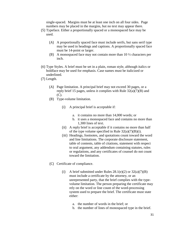single-spaced. Margins must be at least one inch on all four sides. Page numbers may be placed in the margins, but no text may appear there.

- (5) Typeface. Either a proportionally spaced or a monospaced face may be used.
	- (A) A proportionally spaced face must include serifs, but sans serif type may be used in headings and captions. A proportionally spaced face must be 14-point or larger.
	- (B) A monospaced face may not contain more than 10 ½ characters per inch.
- (6) Type Styles. A brief must be set in a plain, roman style, although italics or boldface may be used for emphasis. Case names must be italicized or underlined.
- (7) Length.
	- (A) Page limitation. A principal brief may not exceed 30 pages, or a reply brief 15 pages, unless it complies with Rule  $32(a)(7)(B)$  and (C).
	- (B) Type-volume limitation.
		- (i) A principal brief is acceptable if:
			- a. it contains no more than 14,000 words; or
			- b. it uses a monospaced face and contains no more than 1,300 lines of text.
		- (ii) A reply brief is acceptable if it contains no more than half of the type volume specified in Rule  $32(a)(7)(B)(i)$ .
		- (iii) Headings, footnotes, and quotations count toward the word and line limitations. The corporate disclosure statement, table of contents, table of citations, statement with respect to oral argument, any addendum containing statutes, rules or regulations, and any certificates of counsel do not count toward the limitation.
	- (C) Certificate of compliance.
		- (i) A brief submitted under Rules  $28.1(e)(2)$  or  $32(a)(7)(B)$ must include a certificate by the attorney, or an unrepresented party, that the brief complies with the typevolume limitation. The person preparing the certificate may rely on the word or line count of the word-processing system used to prepare the brief. The certificate must state either:
			- a. the number of words in the brief; or
			- b. the number of lines of monospaced type in the brief.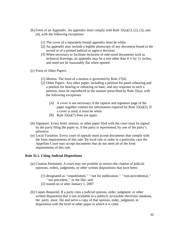- (b) Form of an Appendix. An appendix must comply with Rule  $32(a)(1)$ ,  $(2)$ ,  $(3)$ , and (4), with the following exceptions:
	- (1) The cover of a separately bound appendix must be white.
	- (2) An appendix may include a legible photocopy of any document found in the record or of a printed judicial or agency decision.
	- (3) When necessary to facilitate inclusion of odd-sized documents such as technical drawings, an appendix may be a size other than 8 ½ by 11 inches, and need not lie reasonably flat when opened.
- (c) Form of Other Papers.
	- (1) Motion. The form of a motion is governed by Rule 27(d).
	- (2) Other Papers. Any other paper, including a petition for panel rehearing and a petition for hearing or rehearing en banc, and any response to such a petition, must be reproduced in the manner prescribed by Rule 32(a), with the following exceptions:
		- (A) A cover is not necessary if the caption and signature page of the paper together contain the information required by Rule 32(a)(2). If a cover is used, it must be white.
		- (B) Rule 32(a)(7) does not apply.
- (d) Signature. Every brief, motion, or other paper filed with the court must be signed by the party filing the paper or, if the party is represented, by one of the party's attorneys.
- (e) Local Variation. Every court of appeals must accept documents that comply with the form requirements of this rule. By local rule or order in a particular case the Appellate Court may accept documents that do not meet all of the form requirements of this rule.

#### <span id="page-31-0"></span>**Rule 32.1. Citing Judicial Dispositions**

- (a) Citation Permitted. A court may not prohibit or restrict the citation of judicial opinions, orders, judgments, or other written dispositions that have been:
	- (1) designated as ''unpublished,'' ''not for publication,'' ''non-precedential,'' ''not precedent,'' or the like; and
	- (2) issued on or after January 1, 2007.
- (b) Copies Required. If a party cites a judicial opinion, order, judgment, or other written disposition that is not available in a publicly accessible electronic database, the party must file and serve a copy of that opinion, order, judgment, or disposition with the brief or other paper in which it is cited.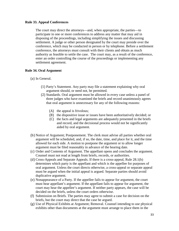#### <span id="page-32-0"></span>**Rule 33. Appeal Conferences**

The court may direct the attorneys—and, when appropriate, the parties—to participate in one or more conferences to address any matter that may aid in disposing of the proceedings, including simplifying the issues and discussing settlement. A judge or other person designated by the court may preside over the conference, which may be conducted in person or by telephone. Before a settlement conference, the attorneys must consult with their clients and obtain as much authority as feasible to settle the case. The court may, as a result of the conference, enter an order controlling the course of the proceedings or implementing any settlement agreement.

## <span id="page-32-1"></span>**Rule 34. Oral Argument**

- (a) In General.
	- (1) Party's Statement. Any party may file a statement explaining why oral argument should, or need not, be permitted.
	- (2) Standards. Oral argument must be allowed in every case unless a panel of three judges who have examined the briefs and record unanimously agrees that oral argument is unnecessary for any of the following reasons:
		- (A) the appeal is frivolous;
		- (B) the dispositive issue or issues have been authoritatively decided; or
		- (C) the facts and legal arguments are adequately presented in the briefs and record, and the decisional process would not be significantly aided by oral argument.
- (b) Notice of Argument; Postponement. The clerk must advise all parties whether oral argument will be scheduled, and, if so, the date, time, and place for it, and the time allowed for each side. A motion to postpone the argument or to allow longer argument must be filed reasonably in advance of the hearing date.
- (c) Order and Contents of Argument. The appellant opens and concludes the argument. Counsel must not read at length from briefs, records, or authorities.
- (d) Cross-Appeals and Separate Appeals. If there is a cross-appeal, Rule 28.1(b) determines which party is the appellant and which is the appellee for purposes of oral argument. Unless the court directs otherwise, a cross-appeal or separate appeal must be argued when the initial appeal is argued. Separate parties should avoid duplicative argument.
- (e) Nonappearance of a Party. If the appellee fails to appear for argument, the court must hear appellant's argument. If the appellant fails to appear for argument, the court may hear the appellee's argument. If neither party appears, the case will be decided on the briefs, unless the court orders otherwise.
- (f) Submission on Briefs. The parties may agree to submit a case for decision on the briefs, but the court may direct that the case be argued.
- (g) Use of Physical Exhibits at Argument; Removal. Counsel intending to use physical exhibits other than documents at the argument must arrange to place them in the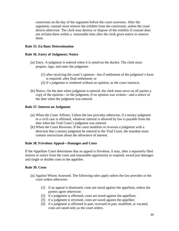courtroom on the day of the argument before the court convenes. After the argument, counsel must remove the exhibits from the courtroom, unless the court directs otherwise. The clerk may destroy or dispose of the exhibits if counsel does not reclaim them within a reasonable time after the clerk gives notice to remove them.

# <span id="page-33-0"></span>**Rule 35. En Banc Determination**

# <span id="page-33-1"></span>**Rule 36. Entry of Judgment; Notice**

- (a) Entry. A judgment is entered when it is noted on the docket. The clerk must prepare, sign, and enter the judgment:
	- (1) after receiving the court's opinion—but if settlement of the judgment's form is required, after final settlement; or
	- (2) if a judgment is rendered without an opinion, as the court instructs.
- (b) Notice. On the date when judgment is entered, the clerk must serve on all parties a copy of the opinion—or the judgment, if no opinion was written—and a notice of the date when the judgment was entered.

## <span id="page-33-2"></span>**Rule 37. Interest on Judgment**

- (a) When the Court Affirms. Unless the law provides otherwise, if a money judgment in a civil case is affirmed, whatever interest is allowed by law is payable from the date when the Trial Court's judgment was entered.
- (b) When the Court Reverses. If the court modifies or reverses a judgment with a direction that a money judgment be entered in the Trial Court, the mandate must contain instructions about the allowance of interest.

## <span id="page-33-3"></span>**Rule 38. Frivolous Appeal—Damages and Costs**

If the Appellate Court determines that an appeal is frivolous, it may, after a separately filed motion or notice from the court and reasonable opportunity to respond, award just damages and single or double costs to the appellee.

## <span id="page-33-4"></span>**Rule 39. Costs**

- (a) Against Whom Assessed. The following rules apply unless the law provides or the court orders otherwise:
	- (1) if an appeal is dismissed, costs are taxed against the appellant, unless the parties agree otherwise;
	- (2) if a judgment is affirmed, costs are taxed against the appellant;
	- (3) if a judgment is reversed, costs are taxed against the appellee;
	- (4) if a judgment is affirmed in part, reversed in part, modified, or vacated, costs are taxed only as the court orders.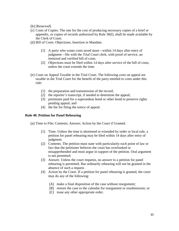- (b) [Reserved]
- (c) Costs of Copies. The rate for the cost of producing necessary copies of a brief or appendix, or copies of records authorized by Rule 30(f), shall be made available by the Clerk of Court.
- (d) Bill of Costs: Objections; Insertion in Mandate.
	- (1) A party who wants costs taxed must—within 14 days after entry of judgment—file with the Trial Court clerk, with proof of service, an itemized and verified bill of costs.
	- (2) Objections must be filed within 14 days after service of the bill of costs, unless the court extends the time.
- (e) Costs on Appeal Taxable in the Trial Court. The following costs on appeal are taxable in the Trial Court for the benefit of the party entitled to costs under this rule:
	- (1) the preparation and transmission of the record;
	- (2) the reporter's transcript, if needed to determine the appeal;
	- (3) premiums paid for a supersedeas bond or other bond to preserve rights pending appeal; and
	- (4) the fee for filing the notice of appeal.

#### <span id="page-34-0"></span>**Rule 40. Petition for Panel Rehearing**

- (a) Time to File; Contents; Answer; Action by the Court if Granted.
	- (1) Time. Unless the time is shortened or extended by order or local rule, a petition for panel rehearing may be filed within 14 days after entry of judgment.
	- (2) Contents. The petition must state with particularity each point of law or fact that the petitioner believes the court has overlooked or misapprehended and must argue in support of the petition. Oral argument is not permitted.
	- (3) Answer. Unless the court requests, no answer to a petition for panel rehearing is permitted. But ordinarily rehearing will not be granted in the absence of such a request.
	- (4) Action by the Court. If a petition for panel rehearing is granted, the court may do any of the following:
		- (A) make a final disposition of the case without reargument;
		- (B) restore the case to the calendar for reargument or resubmission; or
		- (C) issue any other appropriate order.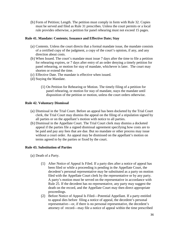(b) Form of Petition; Length. The petition must comply in form with Rule 32. Copies must be served and filed as Rule 31 prescribes. Unless the court permits or a local rule provides otherwise, a petition for panel rehearing must not exceed 15 pages.

# <span id="page-35-0"></span>**Rule 41. Mandate: Contents; Issuance and Effective Date; Stay**

- (a) Contents. Unless the court directs that a formal mandate issue, the mandate consists of a certified copy of the judgment, a copy of the court's opinion, if any, and any direction about costs.
- (b) When Issued. The court's mandate must issue 7 days after the time to file a petition for rehearing expires, or 7 days after entry of an order denying a timely petition for panel rehearing, or motion for stay of mandate, whichever is later. The court may shorten or extend the time.
- (c) Effective Date. The mandate is effective when issued.
- (d) Staying the Mandate.
	- (1) On Petition for Rehearing or Motion. The timely filing of a petition for panel rehearing, or motion for stay of mandate, stays the mandate until disposition of the petition or motion, unless the court orders otherwise.

## <span id="page-35-1"></span>**Rule 42. Voluntary Dismissal**

- (a) Dismissal in the Trial Court. Before an appeal has been docketed by the Trial Court clerk, the Trial Court may dismiss the appeal on the filing of a stipulation signed by all parties or on the appellant's motion with notice to all parties.
- (b) Dismissal in the Appellate Court. The Trial Court clerk may dismiss a docketed appeal if the parties file a signed dismissal agreement specifying how costs are to be paid and pay any fees that are due. But no mandate or other process may issue without a court order. An appeal may be dismissed on the appellant's motion on terms agreed to by the parties or fixed by the court.

# <span id="page-35-2"></span>**Rule 43. Substitution of Parties**

- (a) Death of a Party.
	- (1) After Notice of Appeal Is Filed. If a party dies after a notice of appeal has been filed or while a proceeding is pending in the Appellate Court, the decedent's personal representative may be substituted as a party on motion filed with the Appellate Court clerk by the representative or by any party. A party's motion must be served on the representative in accordance with Rule 25. If the decedent has no representative, any party may suggest the death on the record, and the Appellate Court may then direct appropriate proceedings.
	- (2) Before Notice of Appeal Is Filed—Potential Appellant. If a party entitled to appeal dies before filing a notice of appeal, the decedent's personal representative—or, if there is no personal representative, the decedent's attorney of record—may file a notice of appeal within the time prescribed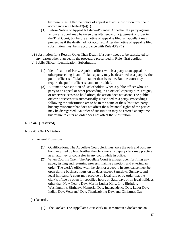by these rules. After the notice of appeal is filed, substitution must be in accordance with Rule 43(a)(1).

- (3) Before Notice of Appeal Is Filed—Potential Appellee. If a party against whom an appeal may be taken dies after entry of a judgment or order in the Trial Court, but before a notice of appeal is filed, an appellant may proceed as if the death had not occurred. After the notice of appeal is filed, substitution must be in accordance with Rule  $43(a)(1)$ .
- (b) Substitution for a Reason Other Than Death. If a party needs to be substituted for any reason other than death, the procedure prescribed in Rule 43(a) applies.
- (c) Public Officer: Identification; Substitution.
	- (1) Identification of Party. A public officer who is a party to an appeal or other proceeding in an official capacity may be described as a party by the public officer's official title rather than by name. But the court may require the public officer's name to be added.
	- (2) Automatic Substitution of Officeholder. When a public officer who is a party to an appeal or other proceeding in an official capacity dies, resigns, or otherwise ceases to hold office, the action does not abate. The public officer's successor is automatically substituted as a party. Proceedings following the substitution are to be in the name of the substituted party, but any misnomer that does not affect the substantial rights of the parties may be disregarded. An order of substitution may be entered at any time, but failure to enter an order does not affect the substitution.

## <span id="page-36-0"></span>**Rule 44. [Reserved]**

## <span id="page-36-1"></span>**Rule 45. Clerk's Duties**

- (a) General Provisions.
	- (1) Qualifications. The Appellate Court clerk must take the oath and post any bond required by law. Neither the clerk nor any deputy clerk may practice as an attorney or counselor in any court while in office.
	- (2) When Court Is Open. The Appellate Court is always open for filing any paper, issuing and returning process, making a motion, and entering an order. The clerk's office with the clerk or a deputy in attendance must be open during business hours on all days except Saturdays, Sundays, and legal holidays. A court may provide by local rule or by order that the clerk's office be open for specified hours on Saturdays or on legal holidays other than New Year's Day, Martin Luther King, Jr.'s Birthday, Washington's Birthday, Memorial Day, Independence Day, Labor Day, Indian Day, Veterans' Day, Thanksgiving Day, and Christmas Day.

# (b) Records.

(1) The Docket. The Appellate Court clerk must maintain a docket and an